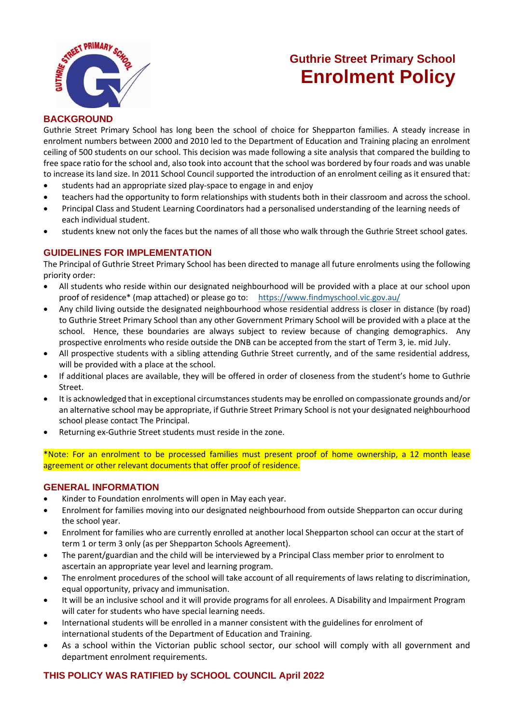

## **Guthrie Street Primary School Enrolment Policy**

#### **BACKGROUND**

Guthrie Street Primary School has long been the school of choice for Shepparton families. A steady increase in enrolment numbers between 2000 and 2010 led to the Department of Education and Training placing an enrolment ceiling of 500 students on our school. This decision was made following a site analysis that compared the building to free space ratio for the school and, also took into account that the school was bordered by four roads and was unable to increase its land size. In 2011 School Council supported the introduction of an enrolment ceiling as it ensured that:

- students had an appropriate sized play-space to engage in and enjoy
- teachers had the opportunity to form relationships with students both in their classroom and across the school.
- Principal Class and Student Learning Coordinators had a personalised understanding of the learning needs of each individual student.
- students knew not only the faces but the names of all those who walk through the Guthrie Street school gates.

#### **GUIDELINES FOR IMPLEMENTATION**

The Principal of Guthrie Street Primary School has been directed to manage all future enrolments using the following priority order:

- All students who reside within our designated neighbourhood will be provided with a place at our school upon proof of residence\* (map attached) or please go to: <https://www.findmyschool.vic.gov.au/>
- Any child living outside the designated neighbourhood whose residential address is closer in distance (by road) to Guthrie Street Primary School than any other Government Primary School will be provided with a place at the school. Hence, these boundaries are always subject to review because of changing demographics. Any prospective enrolments who reside outside the DNB can be accepted from the start of Term 3, ie. mid July.
- All prospective students with a sibling attending Guthrie Street currently, and of the same residential address, will be provided with a place at the school.
- If additional places are available, they will be offered in order of closeness from the student's home to Guthrie Street.
- It is acknowledged that in exceptional circumstances students may be enrolled on compassionate grounds and/or an alternative school may be appropriate, if Guthrie Street Primary School is not your designated neighbourhood school please contact The Principal.
- Returning ex-Guthrie Street students must reside in the zone.

\*Note: For an enrolment to be processed families must present proof of home ownership, a 12 month lease agreement or other relevant documents that offer proof of residence.

#### **GENERAL INFORMATION**

- Kinder to Foundation enrolments will open in May each year.
- Enrolment for families moving into our designated neighbourhood from outside Shepparton can occur during the school year.
- Enrolment for families who are currently enrolled at another local Shepparton school can occur at the start of term 1 or term 3 only (as per Shepparton Schools Agreement).
- The parent/guardian and the child will be interviewed by a Principal Class member prior to enrolment to ascertain an appropriate year level and learning program.
- The enrolment procedures of the school will take account of all requirements of laws relating to discrimination, equal opportunity, privacy and immunisation.
- It will be an inclusive school and it will provide programs for all enrolees. A Disability and Impairment Program will cater for students who have special learning needs.
- International students will be enrolled in a manner consistent with the guidelines for enrolment of international students of the Department of Education and Training.
- As a school within the Victorian public school sector, our school will comply with all government and department enrolment requirements.

### **THIS POLICY WAS RATIFIED by SCHOOL COUNCIL April 2022**